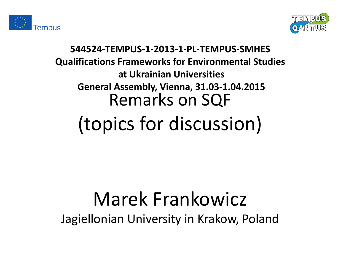



### **544524-TEMPUS-1-2013-1-PL-TEMPUS-SMHES Qualifications Frameworks for Environmental Studies at Ukrainian Universities General Assembly, Vienna, 31.03-1.04.2015** Remarks on SQF (topics for discussion)

### Marek Frankowicz Jagiellonian University in Krakow, Poland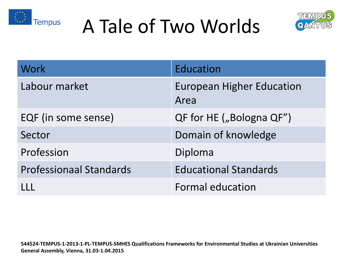





| <b>Work</b>                    | Education                                |
|--------------------------------|------------------------------------------|
| Labour market                  | <b>European Higher Education</b><br>Area |
| EQF (in some sense)            | QF for HE ("Bologna QF")                 |
| Sector                         | Domain of knowledge                      |
| Profession                     | Diploma                                  |
| <b>Professionaal Standards</b> | <b>Educational Standards</b>             |
|                                | Formal education                         |

**544524-TEMPUS-1-2013-1-PL-TEMPUS-SMHES Qualifications Frameworks for Environmental Studies at Ukrainian Universities General Assembly, Vienna, 31.03-1.04.2015**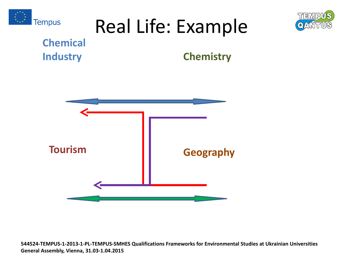

## Real Life: Example



#### **Chemical Industry**

#### **Chemistry**



**544524-TEMPUS-1-2013-1-PL-TEMPUS-SMHES Qualifications Frameworks for Environmental Studies at Ukrainian Universities General Assembly, Vienna, 31.03-1.04.2015**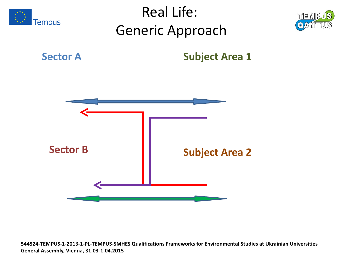

**544524-TEMPUS-1-2013-1-PL-TEMPUS-SMHES Qualifications Frameworks for Environmental Studies at Ukrainian Universities General Assembly, Vienna, 31.03-1.04.2015**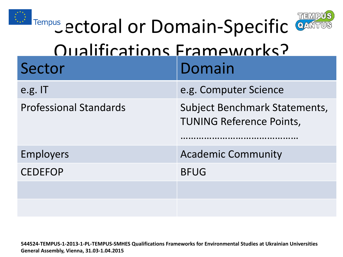



| ITempus ectoral or Domain-Specific CANTUS |                                                                  |  |
|-------------------------------------------|------------------------------------------------------------------|--|
| Oualifications Frameworks?                |                                                                  |  |
| Sector                                    | Domain                                                           |  |
| e.g. IT                                   | e.g. Computer Science                                            |  |
| <b>Professional Standards</b>             | Subject Benchmark Statements,<br><b>TUNING Reference Points,</b> |  |
| <b>Employers</b>                          | <b>Academic Community</b>                                        |  |
| <b>CEDEFOP</b>                            | <b>BFUG</b>                                                      |  |
|                                           |                                                                  |  |
|                                           |                                                                  |  |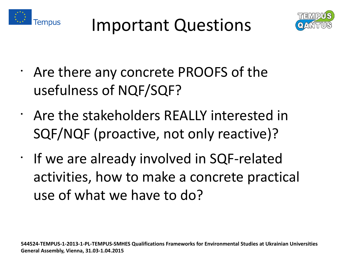



- Are there any concrete PROOFS of the usefulness of NQF/SQF?
- Are the stakeholders REALLY interested in SQF/NQF (proactive, not only reactive)?
- If we are already involved in SQF-related activities, how to make a concrete practical use of what we have to do?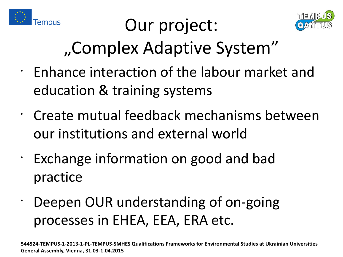

# Our project:



# "Complex Adaptive System"

- Enhance interaction of the labour market and education & training systems
- Create mutual feedback mechanisms between our institutions and external world
- Exchange information on good and bad practice
- Deepen OUR understanding of on-going processes in EHEA, EEA, ERA etc.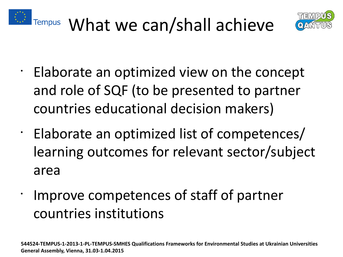





- Elaborate an optimized view on the concept and role of SQF (to be presented to partner countries educational decision makers)
- Elaborate an optimized list of competences/ learning outcomes for relevant sector/subject area
- Improve competences of staff of partner countries institutions